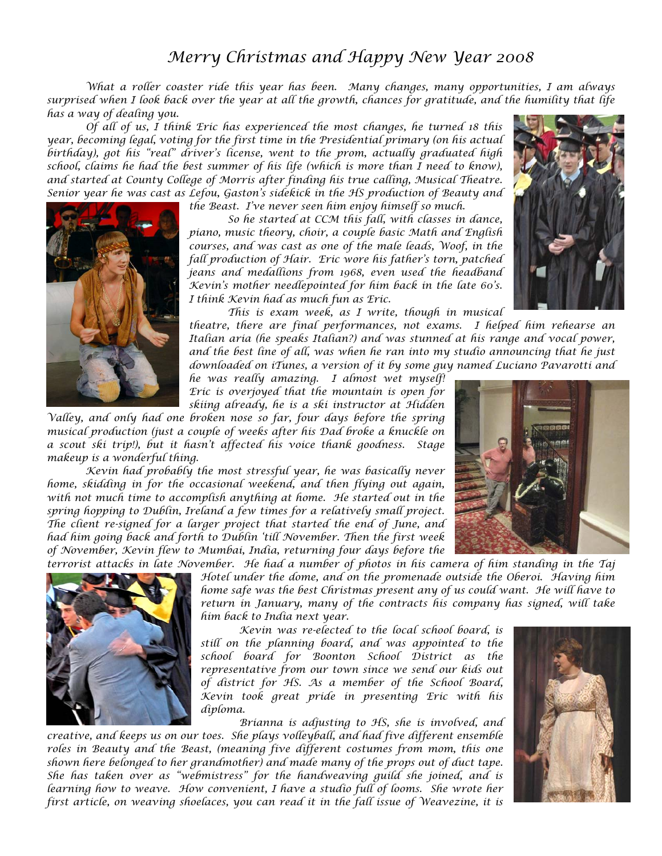## *Merry Christmas and Happy New Year 2008*

*What a roller coaster ride this year has been. Many changes, many opportunities, I am always surprised when I look back over the year at all the growth, chances for gratitude, and the humility that life has a way of dealing you.* 

*Of all of us, I think Eric has experienced the most changes, he turned 18 this year, becoming legal, voting for the first time in the Presidential primary (on his actual birthday), got his "real" driver's license, went to the prom, actually graduated high school, claims he had the best summer of his life (which is more than I need to know), and started at County College of Morris after finding his true calling, Musical Theatre. Senior year he was cast as Lefou, Gaston's sidekick in the HS production of Beauty and* 



*the Beast. I've never seen him enjoy himself so much.* 

*So he started at CCM this fall, with classes in dance, piano, music theory, choir, a couple basic Math and English courses, and was cast as one of the male leads, Woof, in the fall production of Hair. Eric wore his father's torn, patched jeans and medallions from 1968, even used the headband Kevin's mother needlepointed for him back in the late 60's. I think Kevin had as much fun as Eric.* 

*This is exam week, as I write, though in musical* 

*theatre, there are final performances, not exams. I helped him rehearse an Italian aria (he speaks Italian?) and was stunned at his range and vocal power, and the best line of all, was when he ran into my studio announcing that he just downloaded on iTunes, a version of it by some guy named Luciano Pavarotti and* 

*he was really amazing. I almost wet myself! Eric is overjoyed that the mountain is open for skiing already, he is a ski instructor at Hidden* 

*Valley, and only had one broken nose so far, four days before the spring musical production (just a couple of weeks after his Dad broke a knuckle on a scout ski trip!), but it hasn't affected his voice thank goodness. Stage makeup is a wonderful thing.* 

*Kevin had probably the most stressful year, he was basically never home, skidding in for the occasional weekend, and then flying out again, with not much time to accomplish anything at home. He started out in the spring hopping to Dublin, Ireland a few times for a relatively small project. The client re-signed for a larger project that started the end of June, and had him going back and forth to Dublin 'till November. Then the first week of November, Kevin flew to Mumbai, India, returning four days before the* 



*terrorist attacks in late November. He had a number of photos in his camera of him standing in the Taj Hotel under the dome, and on the promenade outside the Oberoi. Having him home safe was the best Christmas present any of us could want. He will have to return in January, many of the contracts his company has signed, will take him back to India next year.* 

*Kevin was re-elected to the local school board, is still on the planning board, and was appointed to the school board for Boonton School District as the representative from our town since we send our kids out of district for HS. As a member of the School Board, Kevin took great pride in presenting Eric with his diploma.* 

*Brianna is adjusting to HS, she is involved, and creative, and keeps us on our toes. She plays volleyball, and had five different ensemble roles in Beauty and the Beast, (meaning five different costumes from mom, this one shown here belonged to her grandmother) and made many of the props out of duct tape. She has taken over as "webmistress" for the handweaving guild she joined, and is learning how to weave. How convenient, I have a studio full of looms. She wrote her first article, on weaving shoelaces, you can read it in the fall issue of Weavezine, it is*